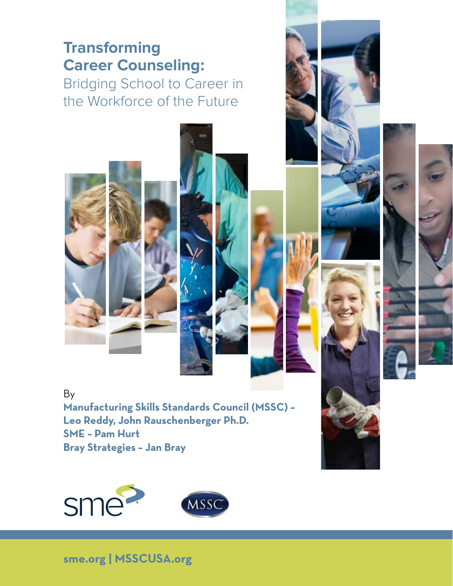# **Transforming Career Counseling:**

Bridging School to Career in the Workforce of the Future

By **Manufacturing Skills Standards Council (MSSC) – Leo Reddy, John Rauschenberger Ph.D. SME – Pam Hurt Bray Strategies – Jan Bray**



#### **sme.org | MSSCUSA.org**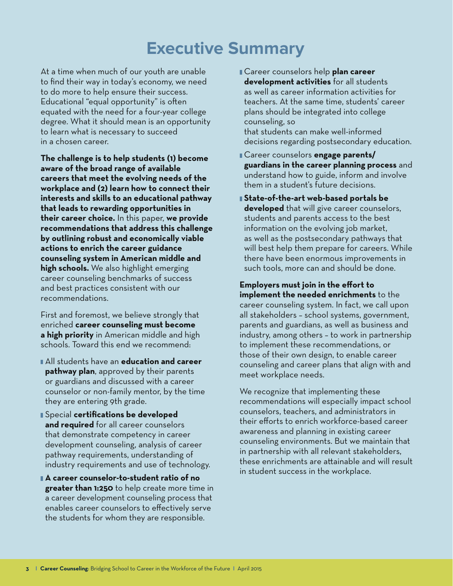# **Executive Summary**

At a time when much of our youth are unable to find their way in today's economy, we need to do more to help ensure their success. Educational "equal opportunity" is often equated with the need for a four-year college degree. What it should mean is an opportunity to learn what is necessary to succeed in a chosen career.

**The challenge is to help students (1) become aware of the broad range of available careers that meet the evolving needs of the workplace and (2) learn how to connect their interests and skills to an educational pathway that leads to rewarding opportunities in their career choice.** In this paper, **we provide recommendations that address this challenge by outlining robust and economically viable actions to enrich the career guidance counseling system in American middle and high schools.** We also highlight emerging career counseling benchmarks of success and best practices consistent with our recommendations.

First and foremost, we believe strongly that enriched **career counseling must become a high priority** in American middle and high schools. Toward this end we recommend:

- All students have an **education and career pathway plan**, approved by their parents or guardians and discussed with a career counselor or non-family mentor, by the time they are entering 9th grade.
- Special **certifications be developed and required** for all career counselors that demonstrate competency in career development counseling, analysis of career pathway requirements, understanding of industry requirements and use of technology.
- **A career counselor-to-student ratio of no greater than 1:250** to help create more time in a career development counseling process that enables career counselors to effectively serve the students for whom they are responsible.
- Career counselors help **plan career development activities** for all students as well as career information activities for teachers. At the same time, students' career plans should be integrated into college counseling, so that students can make well-informed decisions regarding postsecondary education.
- Career counselors **engage parents/ guardians in the career planning process** and understand how to guide, inform and involve them in a student's future decisions.
- **State-of-the-art web-based portals be developed** that will give career counselors, students and parents access to the best information on the evolving job market, as well as the postsecondary pathways that will best help them prepare for careers. While there have been enormous improvements in such tools, more can and should be done.

**Employers must join in the effort to implement the needed enrichments** to the career counseling system. In fact, we call upon all stakeholders – school systems, government, parents and guardians, as well as business and industry, among others – to work in partnership to implement these recommendations, or those of their own design, to enable career counseling and career plans that align with and meet workplace needs.

We recognize that implementing these recommendations will especially impact school counselors, teachers, and administrators in their efforts to enrich workforce-based career awareness and planning in existing career counseling environments. But we maintain that in partnership with all relevant stakeholders, these enrichments are attainable and will result in student success in the workplace.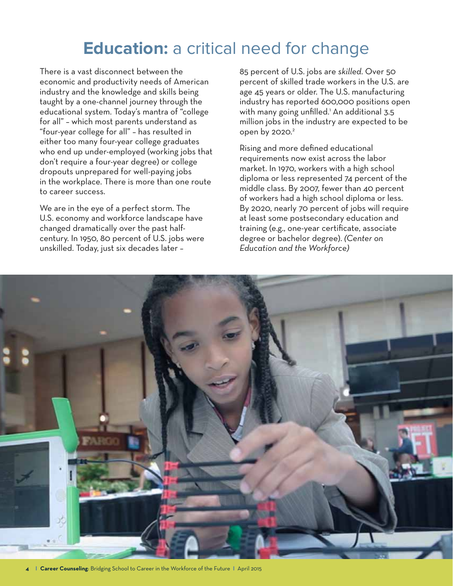# **Education:** a critical need for change

There is a vast disconnect between the economic and productivity needs of American industry and the knowledge and skills being taught by a one-channel journey through the educational system. Today's mantra of "college for all" – which most parents understand as "four-year college for all" – has resulted in either too many four-year college graduates who end up under-employed (working jobs that don't require a four-year degree) or college dropouts unprepared for well-paying jobs in the workplace. There is more than one route to career success.

We are in the eye of a perfect storm. The U.S. economy and workforce landscape have changed dramatically over the past halfcentury. In 1950, 80 percent of U.S. jobs were unskilled. Today, just six decades later –

85 percent of U.S. jobs are *skilled*. Over 50 percent of skilled trade workers in the U.S. are age 45 years or older. The U.S. manufacturing industry has reported 600,000 positions open with many going unfilled.<sup>1</sup> An additional 3.5 million jobs in the industry are expected to be open by 2020.<sup>2</sup>

Rising and more defined educational requirements now exist across the labor market. In 1970, workers with a high school diploma or less represented 74 percent of the middle class. By 2007, fewer than 40 percent of workers had a high school diploma or less. By 2020, nearly 70 percent of jobs will require at least some postsecondary education and training (e.g., one-year certificate, associate degree or bachelor degree). *(Center on Education and the Workforce)*

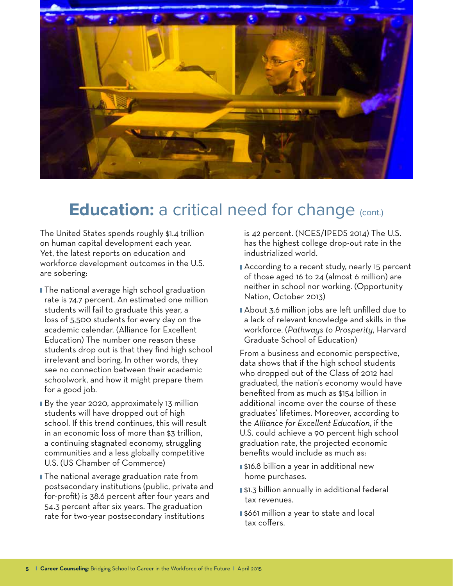

# **Education:** a critical need for change (cont.)

The United States spends roughly \$1.4 trillion on human capital development each year. Yet, the latest reports on education and workforce development outcomes in the U.S. are sobering:

- **The national average high school graduation** rate is 74.7 percent. An estimated one million students will fail to graduate this year, a loss of 5,500 students for every day on the academic calendar. (Alliance for Excellent Education) The number one reason these students drop out is that they find high school irrelevant and boring. In other words, they see no connection between their academic schoolwork, and how it might prepare them for a good job.
- By the year 2020, approximately 13 million students will have dropped out of high school. If this trend continues, this will result in an economic loss of more than \$3 trillion, a continuing stagnated economy, struggling communities and a less globally competitive U.S. (US Chamber of Commerce)
- **The national average graduation rate from** postsecondary institutions (public, private and for-profit) is 38.6 percent after four years and 54.3 percent after six years. The graduation rate for two-year postsecondary institutions

is 42 percent. (NCES/IPEDS 2014) The U.S. has the highest college drop-out rate in the industrialized world.

- According to a recent study, nearly 15 percent of those aged 16 to 24 (almost 6 million) are neither in school nor working. (Opportunity Nation, October 2013)
- About 3.6 million jobs are left unfilled due to a lack of relevant knowledge and skills in the workforce. (*Pathways to Prosperity*, Harvard Graduate School of Education)

From a business and economic perspective, data shows that if the high school students who dropped out of the Class of 2012 had graduated, the nation's economy would have benefited from as much as \$154 billion in additional income over the course of these graduates' lifetimes. Moreover, according to the *Alliance for Excellent Education*, if the U.S. could achieve a 90 percent high school graduation rate, the projected economic benefits would include as much as:

- \$16.8 billion a year in additional new home purchases.
- \$1.3 billion annually in additional federal tax revenues.
- s661 million a year to state and local tax coffers.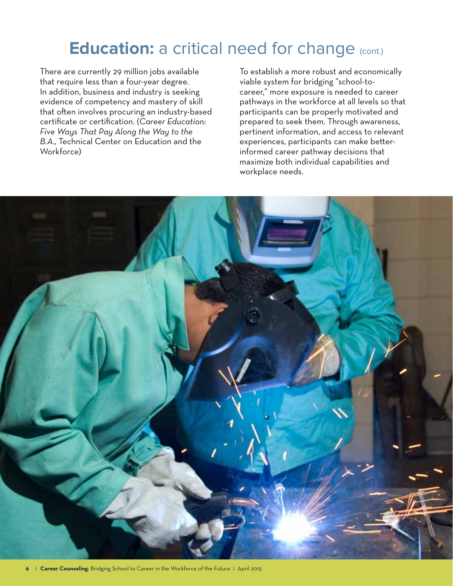# **Education:** a critical need for change (cont.)

There are currently 29 million jobs available that require less than a four-year degree. In addition, business and industry is seeking evidence of competency and mastery of skill that often involves procuring an industry-based certificate or certification. (*Career Education: Five Ways That Pay Along the Way to the B.A.,* Technical Center on Education and the Workforce)

To establish a more robust and economically viable system for bridging "school-tocareer," more exposure is needed to career pathways in the workforce at all levels so that participants can be properly motivated and prepared to seek them. Through awareness, pertinent information, and access to relevant experiences, participants can make betterinformed career pathway decisions that maximize both individual capabilities and workplace needs.

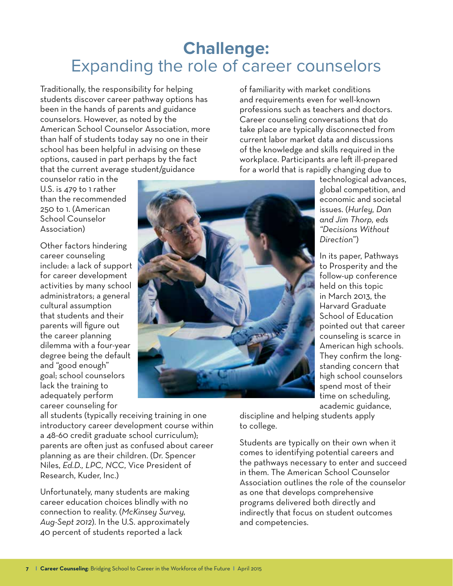## **Challenge:**  Expanding the role of career counselors

Traditionally, the responsibility for helping students discover career pathway options has been in the hands of parents and guidance counselors. However, as noted by the American School Counselor Association, more than half of students today say no one in their school has been helpful in advising on these options, caused in part perhaps by the fact that the current average student/guidance

counselor ratio in the U.S. is 479 to 1 rather than the recommended 250 to 1. (American School Counselor Association)

Other factors hindering career counseling include: a lack of support for career development activities by many school administrators; a general cultural assumption that students and their parents will figure out the career planning dilemma with a four-year degree being the default and "good enough" goal; school counselors lack the training to adequately perform career counseling for



all students (typically receiving training in one introductory career development course within a 48-60 credit graduate school curriculum); parents are often just as confused about career planning as are their children. (Dr. Spencer Niles, *Ed.D., LPC, NCC*, Vice President of Research, Kuder, Inc.)

Unfortunately, many students are making career education choices blindly with no connection to reality. (*McKinsey Survey, Aug-Sept 2012*). In the U.S. approximately 40 percent of students reported a lack

of familiarity with market conditions and requirements even for well-known professions such as teachers and doctors. Career counseling conversations that do take place are typically disconnected from current labor market data and discussions of the knowledge and skills required in the workplace. Participants are left ill-prepared for a world that is rapidly changing due to

> technological advances, global competition, and economic and societal issues. (*Hurley, Dan and Jim Thorp, eds "Decisions Without Direction*")

In its paper, Pathways to Prosperity and the follow-up conference held on this topic in March 2013, the Harvard Graduate School of Education pointed out that career counseling is scarce in American high schools. They confirm the longstanding concern that high school counselors spend most of their time on scheduling, academic guidance,

discipline and helping students apply to college.

Students are typically on their own when it comes to identifying potential careers and the pathways necessary to enter and succeed in them. The American School Counselor Association outlines the role of the counselor as one that develops comprehensive programs delivered both directly and indirectly that focus on student outcomes and competencies.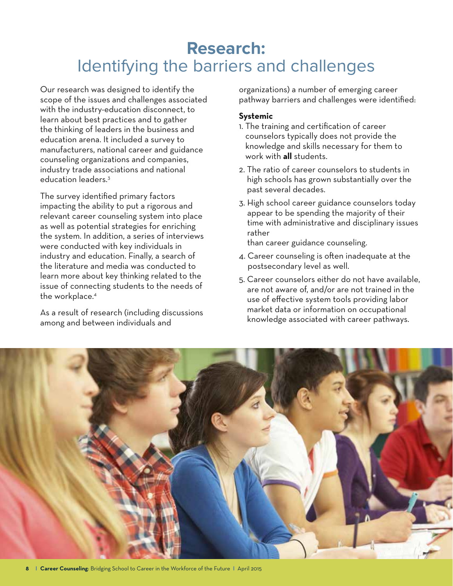# **Research:**  Identifying the barriers and challenges

Our research was designed to identify the scope of the issues and challenges associated with the industry-education disconnect, to learn about best practices and to gather the thinking of leaders in the business and education arena. It included a survey to manufacturers, national career and guidance counseling organizations and companies, industry trade associations and national education leaders.3

The survey identified primary factors impacting the ability to put a rigorous and relevant career counseling system into place as well as potential strategies for enriching the system. In addition, a series of interviews were conducted with key individuals in industry and education. Finally, a search of the literature and media was conducted to learn more about key thinking related to the issue of connecting students to the needs of the workplace.4

As a result of research (including discussions among and between individuals and

organizations) a number of emerging career pathway barriers and challenges were identified:

#### **Systemic**

- 1. The training and certification of career counselors typically does not provide the knowledge and skills necessary for them to work with **all** students.
- 2. The ratio of career counselors to students in high schools has grown substantially over the past several decades.
- 3. High school career guidance counselors today appear to be spending the majority of their time with administrative and disciplinary issues rather

than career guidance counseling.

- 4. Career counseling is often inadequate at the postsecondary level as well.
- 5. Career counselors either do not have available, are not aware of, and/or are not trained in the use of effective system tools providing labor market data or information on occupational knowledge associated with career pathways.

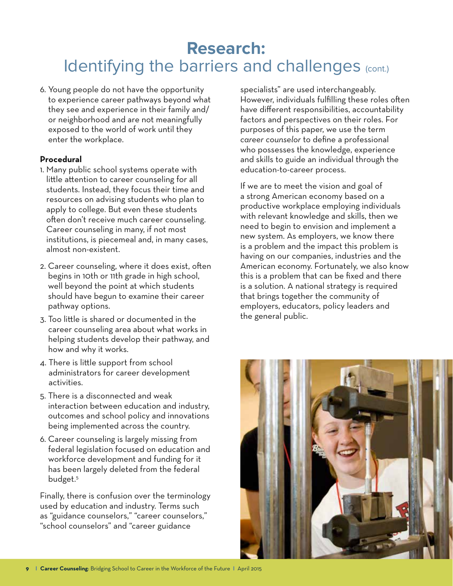# **Research:**  Identifying the barriers and challenges (cont.)

6. Young people do not have the opportunity to experience career pathways beyond what they see and experience in their family and/ or neighborhood and are not meaningfully exposed to the world of work until they enter the workplace.

#### **Procedural**

- 1. Many public school systems operate with little attention to career counseling for all students. Instead, they focus their time and resources on advising students who plan to apply to college. But even these students often don't receive much career counseling. Career counseling in many, if not most institutions, is piecemeal and, in many cases, almost non-existent.
- 2. Career counseling, where it does exist, often begins in 10th or 11th grade in high school, well beyond the point at which students should have begun to examine their career pathway options.
- 3. Too little is shared or documented in the career counseling area about what works in helping students develop their pathway, and how and why it works.
- 4. There is little support from school administrators for career development activities.
- 5. There is a disconnected and weak interaction between education and industry, outcomes and school policy and innovations being implemented across the country.
- 6. Career counseling is largely missing from federal legislation focused on education and workforce development and funding for it has been largely deleted from the federal budget.5

Finally, there is confusion over the terminology used by education and industry. Terms such as "guidance counselors," "career counselors," "school counselors" and "career guidance

specialists" are used interchangeably. However, individuals fulfilling these roles often have different responsibilities, accountability factors and perspectives on their roles. For purposes of this paper, we use the term *career counselor* to define a professional who possesses the knowledge, experience and skills to guide an individual through the education-to-career process.

If we are to meet the vision and goal of a strong American economy based on a productive workplace employing individuals with relevant knowledge and skills, then we need to begin to envision and implement a new system. As employers, we know there is a problem and the impact this problem is having on our companies, industries and the American economy. Fortunately, we also know this is a problem that can be fixed and there is a solution. A national strategy is required that brings together the community of employers, educators, policy leaders and the general public.

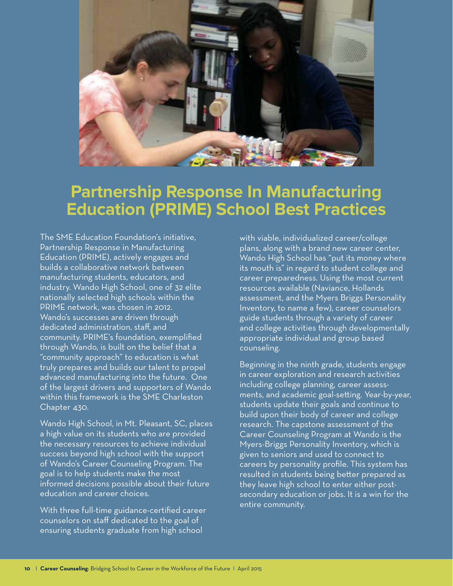

### **Partnership Response In Manufacturing Education (PRIME) School Best Practices**

The SME Education Foundation's initiative, Partnership Response in Manufacturing Education (PRIME), actively engages and builds a collaborative network between manufacturing students, educators, and industry. Wando High School, one of 32 elite nationally selected high schools within the PRIME network, was chosen in 2012. Wando's successes are driven through dedicated administration, staff, and community. PRIME's foundation, exemplified through Wando, is built on the belief that a "community approach" to education is what truly prepares and builds our talent to propel advanced manufacturing into the future. One of the largest drivers and supporters of Wando within this framework is the SME Charleston Chapter 430.

Wando High School, in Mt. Pleasant, SC, places a high value on its students who are provided the necessary resources to achieve individual success beyond high school with the support of Wando's Career Counseling Program. The goal is to help students make the most informed decisions possible about their future education and career choices.

With three full-time guidance-certified career counselors on staff dedicated to the goal of ensuring students graduate from high school

with viable, individualized career/college plans, along with a brand new career center, Wando High School has "put its money where its mouth is" in regard to student college and career preparedness. Using the most current resources available (Naviance, Hollands assessment, and the Myers Briggs Personality Inventory, to name a few), career counselors guide students through a variety of career and college activities through developmentally appropriate individual and group based counseling.

Beginning in the ninth grade, students engage in career exploration and research activities including college planning, career assessments, and academic goal-setting. Year-by-year, students update their goals and continue to build upon their body of career and college research. The capstone assessment of the Career Counseling Program at Wando is the Myers-Briggs Personality Inventory, which is given to seniors and used to connect to careers by personality profile. This system has resulted in students being better prepared as they leave high school to enter either postsecondary education or jobs. It is a win for the entire community.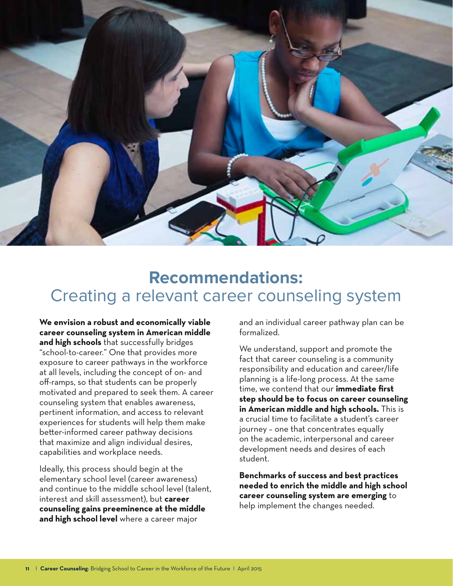

### **Recommendations:**  Creating a relevant career counseling system

**We envision a robust and economically viable career counseling system in American middle and high schools** that successfully bridges "school-to-career." One that provides more exposure to career pathways in the workforce at all levels, including the concept of on- and off-ramps, so that students can be properly motivated and prepared to seek them. A career counseling system that enables awareness, pertinent information, and access to relevant experiences for students will help them make better-informed career pathway decisions that maximize and align individual desires, capabilities and workplace needs.

Ideally, this process should begin at the elementary school level (career awareness) and continue to the middle school level (talent, interest and skill assessment), but **career counseling gains preeminence at the middle and high school level** where a career major

and an individual career pathway plan can be formalized.

We understand, support and promote the fact that career counseling is a community responsibility and education and career/life planning is a life-long process. At the same time, we contend that our **immediate first step should be to focus on career counseling in American middle and high schools.** This is a crucial time to facilitate a student's career journey – one that concentrates equally on the academic, interpersonal and career development needs and desires of each student.

**Benchmarks of success and best practices needed to enrich the middle and high school career counseling system are emerging** to help implement the changes needed.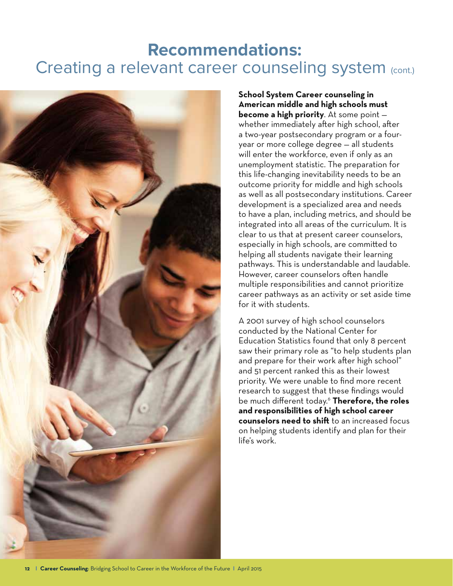### **Recommendations:**  Creating a relevant career counseling system (cont.)



**School System Career counseling in American middle and high schools must become a high priority**. At some point whether immediately after high school, after a two-year postsecondary program or a fouryear or more college degree — all students will enter the workforce, even if only as an unemployment statistic. The preparation for this life-changing inevitability needs to be an outcome priority for middle and high schools as well as all postsecondary institutions. Career development is a specialized area and needs to have a plan, including metrics, and should be integrated into all areas of the curriculum. It is clear to us that at present career counselors, especially in high schools, are committed to helping all students navigate their learning pathways. This is understandable and laudable. However, career counselors often handle multiple responsibilities and cannot prioritize career pathways as an activity or set aside time for it with students.

A 2001 survey of high school counselors conducted by the National Center for Education Statistics found that only 8 percent saw their primary role as "to help students plan and prepare for their work after high school" and 51 percent ranked this as their lowest priority. We were unable to find more recent research to suggest that these findings would be much different today.6 **Therefore, the roles and responsibilities of high school career counselors need to shift** to an increased focus on helping students identify and plan for their life's work.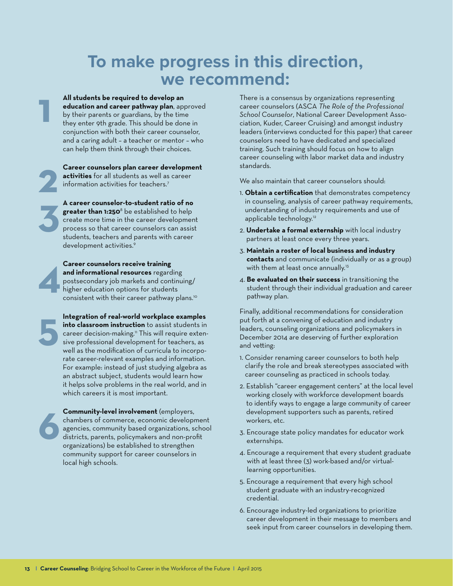## **To make progress in this direction, we recommend:**

**All students be required to develop an education and career pathway plan**, approved by their parents or guardians, by the time they enter 9th grade. This should be done in conjunction with both their career counselor, and a caring adult – a teacher or mentor – who can help them think through their choices.

**Career counselors plan career development activities** for all students as well as career information activities for teachers.<sup>7</sup>

**A career counselor-to-student ratio of no greater than 1:250**<sup>8</sup> be established to help create more time in the career development process so that career counselors can assist students, teachers and parents with career development activities.<sup>9</sup>



**5**

**6**

**1**

**2**

**3**

**Career counselors receive training and informational resources** regarding postsecondary job markets and continuing/ higher education options for students consistent with their career pathway plans.10

**Integration of real-world workplace examples into classroom instruction** to assist students in career decision-making.<sup>11</sup> This will require extensive professional development for teachers, as well as the modification of curricula to incorporate career-relevant examples and information. For example: instead of just studying algebra as an abstract subject, students would learn how it helps solve problems in the real world, and in which careers it is most important.

**Community-level involvement** (employers, chambers of commerce, economic development agencies, community based organizations, school districts, parents, policymakers and non-profit organizations) be established to strengthen community support for career counselors in local high schools.

There is a consensus by organizations representing career counselors (ASCA *The Role of the Professional School Counselor*, National Career Development Association, Kuder, Career Cruising) and amongst industry leaders (interviews conducted for this paper) that career counselors need to have dedicated and specialized training. Such training should focus on how to align career counseling with labor market data and industry standards.

We also maintain that career counselors should:

- 1. **Obtain a certification** that demonstrates competency in counseling, analysis of career pathway requirements, understanding of industry requirements and use of applicable technology.<sup>12</sup>
- 2. **Undertake a formal externship** with local industry partners at least once every three years.
- 3. **Maintain a roster of local business and industry contacts** and communicate (individually or as a group) with them at least once annually.<sup>13</sup>
- 4. **Be evaluated on their success** in transitioning the student through their individual graduation and career pathway plan.

Finally, additional recommendations for consideration put forth at a convening of education and industry leaders, counseling organizations and policymakers in December 2014 are deserving of further exploration and vetting:

- 1. Consider renaming career counselors to both help clarify the role and break stereotypes associated with career counseling as practiced in schools today.
- 2. Establish "career engagement centers" at the local level working closely with workforce development boards to identify ways to engage a large community of career development supporters such as parents, retired workers, etc.
- 3. Encourage state policy mandates for educator work externships.
- 4. Encourage a requirement that every student graduate with at least three (3) work-based and/or virtuallearning opportunities.
- 5. Encourage a requirement that every high school student graduate with an industry-recognized credential.
- 6. Encourage industry-led organizations to prioritize career development in their message to members and seek input from career counselors in developing them.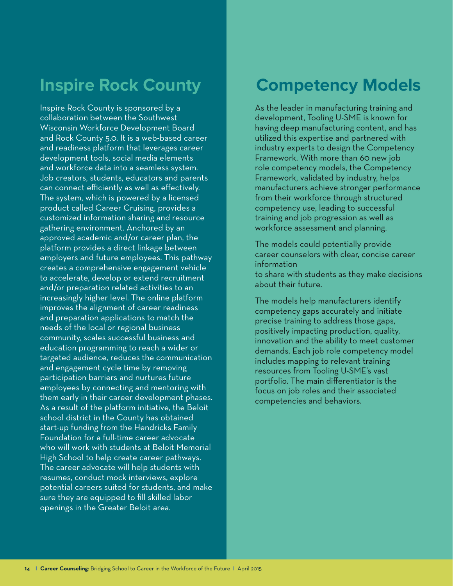# **Inspire Rock County**

Inspire Rock County is sponsored by a collaboration between the Southwest Wisconsin Workforce Development Board and Rock County 5.0. It is a web-based career and readiness platform that leverages career development tools, social media elements and workforce data into a seamless system. Job creators, students, educators and parents can connect efficiently as well as effectively. The system, which is powered by a licensed product called Career Cruising, provides a customized information sharing and resource gathering environment. Anchored by an approved academic and/or career plan, the platform provides a direct linkage between employers and future employees. This pathway creates a comprehensive engagement vehicle to accelerate, develop or extend recruitment and/or preparation related activities to an increasingly higher level. The online platform improves the alignment of career readiness and preparation applications to match the needs of the local or regional business community, scales successful business and education programming to reach a wider or targeted audience, reduces the communication and engagement cycle time by removing participation barriers and nurtures future employees by connecting and mentoring with them early in their career development phases. As a result of the platform initiative, the Beloit school district in the County has obtained start-up funding from the Hendricks Family Foundation for a full-time career advocate who will work with students at Beloit Memorial High School to help create career pathways. The career advocate will help students with resumes, conduct mock interviews, explore potential careers suited for students, and make sure they are equipped to fill skilled labor openings in the Greater Beloit area.

### **Competency Models**

As the leader in manufacturing training and development, Tooling U-SME is known for having deep manufacturing content, and has utilized this expertise and partnered with industry experts to design the Competency Framework. With more than 60 new job role competency models, the Competency Framework, validated by industry, helps manufacturers achieve stronger performance from their workforce through structured competency use, leading to successful training and job progression as well as workforce assessment and planning.

The models could potentially provide career counselors with clear, concise career information to share with students as they make decisions about their future.

The models help manufacturers identify competency gaps accurately and initiate precise training to address those gaps, positively impacting production, quality, innovation and the ability to meet customer demands. Each job role competency model includes mapping to relevant training resources from Tooling U-SME's vast portfolio. The main differentiator is the focus on job roles and their associated competencies and behaviors.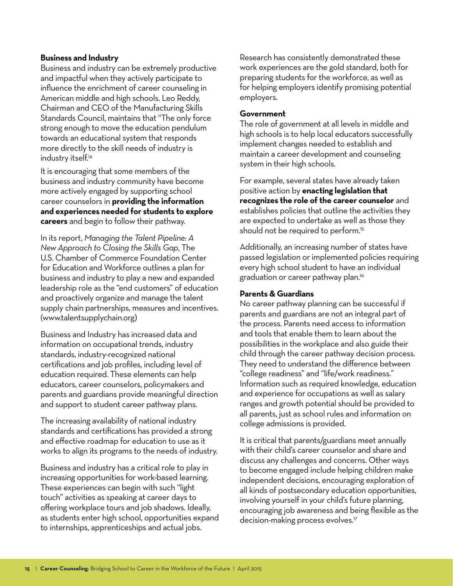#### **Business and Industry**

Business and industry can be extremely productive and impactful when they actively participate to influence the enrichment of career counseling in American middle and high schools. Leo Reddy, Chairman and CEO of the Manufacturing Skills Standards Council, maintains that "The only force strong enough to move the education pendulum towards an educational system that responds more directly to the skill needs of industry is industry itself.<sup>14</sup>

It is encouraging that some members of the business and industry community have become more actively engaged by supporting school career counselors in **providing the information and experiences needed for students to explore careers** and begin to follow their pathway.

In its report, *Managing the Talent Pipeline: A New Approach to Closing the Skills Gap*, The U.S. Chamber of Commerce Foundation Center for Education and Workforce outlines a plan for business and industry to play a new and expanded leadership role as the "end customers" of education and proactively organize and manage the talent supply chain partnerships, measures and incentives. (www.talentsupplychain.org)

Business and Industry has increased data and information on occupational trends, industry standards, industry-recognized national certifications and job profiles, including level of education required. These elements can help educators, career counselors, policymakers and parents and guardians provide meaningful direction and support to student career pathway plans.

The increasing availability of national industry standards and certifications has provided a strong and effective roadmap for education to use as it works to align its programs to the needs of industry.

Business and industry has a critical role to play in increasing opportunities for work-based learning. These experiences can begin with such "light touch" activities as speaking at career days to offering workplace tours and job shadows. Ideally, as students enter high school, opportunities expand to internships, apprenticeships and actual jobs.

Research has consistently demonstrated these work experiences are the gold standard, both for preparing students for the workforce, as well as for helping employers identify promising potential employers.

#### **Government**

The role of government at all levels in middle and high schools is to help local educators successfully implement changes needed to establish and maintain a career development and counseling system in their high schools.

For example, several states have already taken positive action by **enacting legislation that recognizes the role of the career counselor** and establishes policies that outline the activities they are expected to undertake as well as those they should not be required to perform.<sup>15</sup>

Additionally, an increasing number of states have passed legislation or implemented policies requiring every high school student to have an individual graduation or career pathway plan.<sup>16</sup>

#### **Parents & Guardians**

No career pathway planning can be successful if parents and guardians are not an integral part of the process. Parents need access to information and tools that enable them to learn about the possibilities in the workplace and also guide their child through the career pathway decision process. They need to understand the difference between "college readiness" and "life/work readiness." Information such as required knowledge, education and experience for occupations as well as salary ranges and growth potential should be provided to all parents, just as school rules and information on college admissions is provided.

It is critical that parents/guardians meet annually with their child's career counselor and share and discuss any challenges and concerns. Other ways to become engaged include helping children make independent decisions, encouraging exploration of all kinds of postsecondary education opportunities, involving yourself in your child's future planning, encouraging job awareness and being flexible as the decision-making process evolves.<sup>17</sup>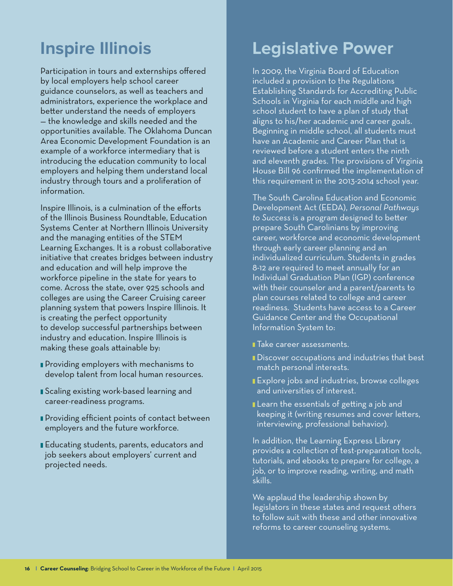# **Inspire Illinois**

Participation in tours and externships offered by local employers help school career guidance counselors, as well as teachers and administrators, experience the workplace and better understand the needs of employers — the knowledge and skills needed and the opportunities available. The Oklahoma Duncan Area Economic Development Foundation is an example of a workforce intermediary that is introducing the education community to local employers and helping them understand local industry through tours and a proliferation of information.

Inspire Illinois, is a culmination of the efforts of the Illinois Business Roundtable, Education Systems Center at Northern Illinois University and the managing entities of the STEM Learning Exchanges. It is a robust collaborative initiative that creates bridges between industry and education and will help improve the workforce pipeline in the state for years to come. Across the state, over 925 schools and colleges are using the Career Cruising career planning system that powers Inspire Illinois. It is creating the perfect opportunity to develop successful partnerships between industry and education. Inspire Illinois is making these goals attainable by:

- **Providing employers with mechanisms to** develop talent from local human resources.
- Scaling existing work-based learning and career-readiness programs.
- Providing efficient points of contact between employers and the future workforce.
- Educating students, parents, educators and job seekers about employers' current and projected needs.

# **Legislative Power**

In 2009, the Virginia Board of Education included a provision to the Regulations Establishing Standards for Accrediting Public Schools in Virginia for each middle and high school student to have a plan of study that aligns to his/her academic and career goals. Beginning in middle school, all students must have an Academic and Career Plan that is reviewed before a student enters the ninth and eleventh grades. The provisions of Virginia House Bill 96 confirmed the implementation of this requirement in the 2013-2014 school year.

The South Carolina Education and Economic Development Act (EEDA), *Personal Pathways to Success* is a program designed to better prepare South Carolinians by improving career, workforce and economic development through early career planning and an individualized curriculum. Students in grades 8-12 are required to meet annually for an Individual Graduation Plan (IGP) conference with their counselor and a parent/parents to plan courses related to college and career readiness. Students have access to a Career Guidance Center and the Occupational Information System to:

- **Take career assessments.**
- Discover occupations and industries that best match personal interests.
- Explore jobs and industries, browse colleges and universities of interest.
- Learn the essentials of getting a job and keeping it (writing resumes and cover letters, interviewing, professional behavior).

In addition, the Learning Express Library provides a collection of test-preparation tools, tutorials, and ebooks to prepare for college, a job, or to improve reading, writing, and math skills.

We applaud the leadership shown by legislators in these states and request others to follow suit with these and other innovative reforms to career counseling systems.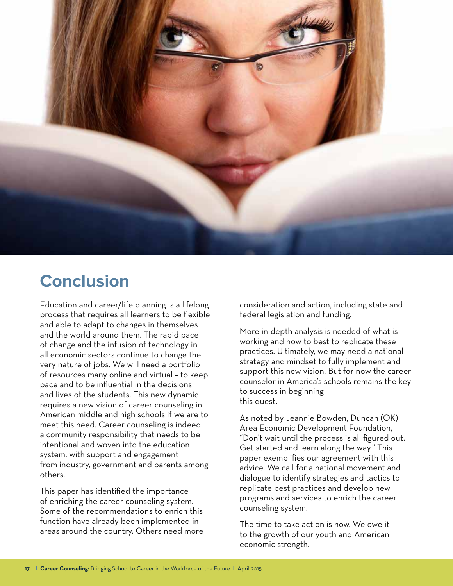

# **Conclusion**

Education and career/life planning is a lifelong process that requires all learners to be flexible and able to adapt to changes in themselves and the world around them. The rapid pace of change and the infusion of technology in all economic sectors continue to change the very nature of jobs. We will need a portfolio of resources many online and virtual – to keep pace and to be influential in the decisions and lives of the students. This new dynamic requires a new vision of career counseling in American middle and high schools if we are to meet this need. Career counseling is indeed a community responsibility that needs to be intentional and woven into the education system, with support and engagement from industry, government and parents among others.

This paper has identified the importance of enriching the career counseling system. Some of the recommendations to enrich this function have already been implemented in areas around the country. Others need more consideration and action, including state and federal legislation and funding.

More in-depth analysis is needed of what is working and how to best to replicate these practices. Ultimately, we may need a national strategy and mindset to fully implement and support this new vision. But for now the career counselor in America's schools remains the key to success in beginning this quest.

As noted by Jeannie Bowden, Duncan (OK) Area Economic Development Foundation, "Don't wait until the process is all figured out. Get started and learn along the way." This paper exemplifies our agreement with this advice. We call for a national movement and dialogue to identify strategies and tactics to replicate best practices and develop new programs and services to enrich the career counseling system.

The time to take action is now. We owe it to the growth of our youth and American economic strength.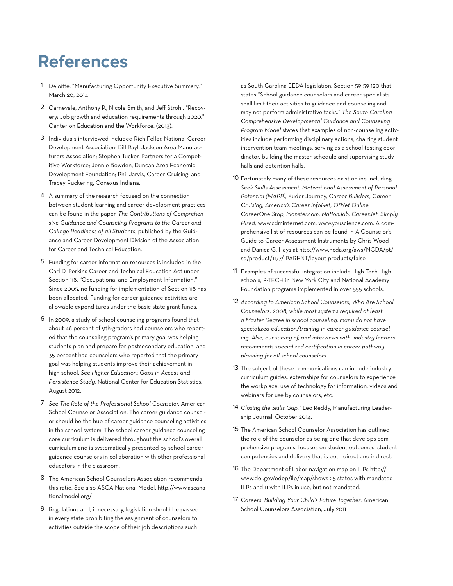# **References**

- 1 Deloitte, "Manufacturing Opportunity Executive Summary." March 20, 2014
- 2 Carnevale, Anthony P., Nicole Smith, and Jeff Strohl. "Recovery: Job growth and education requirements through 2020." Center on Education and the Workforce. (2013).
- 3 Individuals interviewed included Rich Feller, National Career Development Association; Bill Rayl, Jackson Area Manufacturers Association; Stephen Tucker, Partners for a Competitive Workforce; Jennie Bowden, Duncan Area Economic Development Foundation; Phil Jarvis, Career Cruising; and Tracey Puckering, Conexus Indiana.
- 4 A summary of the research focused on the connection between student learning and career development practices can be found in the paper, *The Contributions of Comprehensive Guidance and Counseling Programs to the Career and College Readiness of all Students,* published by the Guidance and Career Development Division of the Association for Career and Technical Education.
- 5 Funding for career information resources is included in the Carl D. Perkins Career and Technical Education Act under Section 118, "Occupational and Employment Information." Since 2005, no funding for implementation of Section 118 has been allocated. Funding for career guidance activities are allowable expenditures under the basic state grant funds.
- 6 In 2009, a study of school counseling programs found that about 48 percent of 9th-graders had counselors who reported that the counseling program's primary goal was helping students plan and prepare for postsecondary education, and 35 percent had counselors who reported that the primary goal was helping students improve their achievement in high school. *See Higher Education: Gaps in Access and Persistence Study,* National Center for Education Statistics, August 2012.
- 7 *See The Role of the Professional School Counselor,* American School Counselor Association. The career guidance counselor should be the hub of career guidance counseling activities in the school system. The school career guidance counseling core curriculum is delivered throughout the school's overall curriculum and is systematically presented by school career guidance counselors in collaboration with other professional educators in the classroom.
- 8 The American School Counselors Association recommends this ratio. See also ASCA National Model, http://www.ascanationalmodel.org/
- 9 Regulations and, if necessary, legislation should be passed in every state prohibiting the assignment of counselors to activities outside the scope of their job descriptions such

as South Carolina EEDA legislation, Section 59-59-120 that states "School guidance counselors and career specialists shall limit their activities to guidance and counseling and may not perform administrative tasks." *The South Carolina Comprehensive Developmental Guidance and Counseling Program Model* states that examples of non-counseling activities include performing disciplinary actions, chairing student intervention team meetings, serving as a school testing coordinator, building the master schedule and supervising study halls and detention halls.

- 10 Fortunately many of these resources exist online including *Seek Skills Assessment, Motivational Assessment of Personal Potential (MAPP),* Kuder Journey, *Career Builders, Career Cruising, America's Career InfoNet, O\*Net Online, CareerOne Stop, Monster.com, NationJob, CareerJet, Simply Hired,* www.cdminternet.com, www.youscience.com. A comprehensive list of resources can be found in A Counselor's Guide to Career Assessment Instruments by Chris Wood and Danica G. Hays at http://www.ncda.org/aws/NCDA/pt/ sd/product/1177/\_PARENT/layout\_products/false
- 11 Examples of successful integration include High Tech High schools, P-TECH in New York City and National Academy Foundation programs implemented in over 555 schools.
- 12 *According to American School Counselors, Who Are School Counselors, 2008, while most systems required at least a Master Degree in school counseling, many do not have specialized education/training in career guidance counseling. Also, our survey of, and interviews with, industry leaders recommends specialized certification in career pathway planning for all school counselors.*
- 13 The subject of these communications can include industry curriculum guides, externships for counselors to experience the workplace, use of technology for information, videos and webinars for use by counselors, etc.
- 14 *Closing the Skills Gap,"* Leo Reddy, Manufacturing Leadership Journal, October 2014.
- 15 The American School Counselor Association has outlined the role of the counselor as being one that develops comprehensive programs, focuses on student outcomes, student competencies and delivery that is both direct and indirect.
- 16 The Department of Labor navigation map on ILPs http:// www.dol.gov/odep/ilp/map/shows 25 states with mandated ILPs and 11 with ILPs in use, but not mandated.
- 17 *Careers: Building Your Child's Future Together*, American School Counselors Association, July 2011